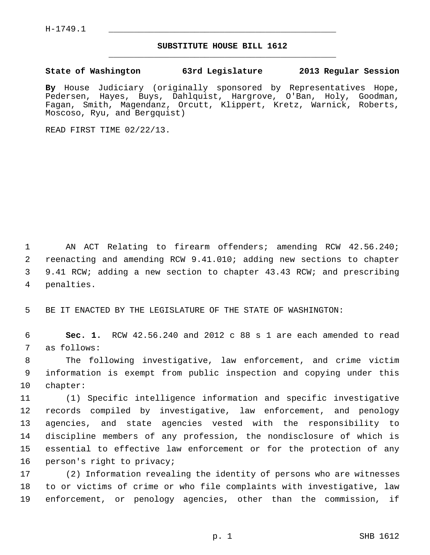$H-1749.1$ 

## **SUBSTITUTE HOUSE BILL 1612** \_\_\_\_\_\_\_\_\_\_\_\_\_\_\_\_\_\_\_\_\_\_\_\_\_\_\_\_\_\_\_\_\_\_\_\_\_\_\_\_\_\_\_\_\_

## **State of Washington 63rd Legislature 2013 Regular Session**

**By** House Judiciary (originally sponsored by Representatives Hope, Pedersen, Hayes, Buys, Dahlquist, Hargrove, O'Ban, Holy, Goodman, Fagan, Smith, Magendanz, Orcutt, Klippert, Kretz, Warnick, Roberts, Moscoso, Ryu, and Bergquist)

READ FIRST TIME 02/22/13.

 1 AN ACT Relating to firearm offenders; amending RCW 42.56.240; 2 reenacting and amending RCW 9.41.010; adding new sections to chapter 3 9.41 RCW; adding a new section to chapter 43.43 RCW; and prescribing 4 penalties.

5 BE IT ENACTED BY THE LEGISLATURE OF THE STATE OF WASHINGTON:

 6 **Sec. 1.** RCW 42.56.240 and 2012 c 88 s 1 are each amended to read 7 as follows:

 8 The following investigative, law enforcement, and crime victim 9 information is exempt from public inspection and copying under this 10 chapter:

11 (1) Specific intelligence information and specific investigative 12 records compiled by investigative, law enforcement, and penology 13 agencies, and state agencies vested with the responsibility to 14 discipline members of any profession, the nondisclosure of which is 15 essential to effective law enforcement or for the protection of any 16 person's right to privacy;

17 (2) Information revealing the identity of persons who are witnesses 18 to or victims of crime or who file complaints with investigative, law 19 enforcement, or penology agencies, other than the commission, if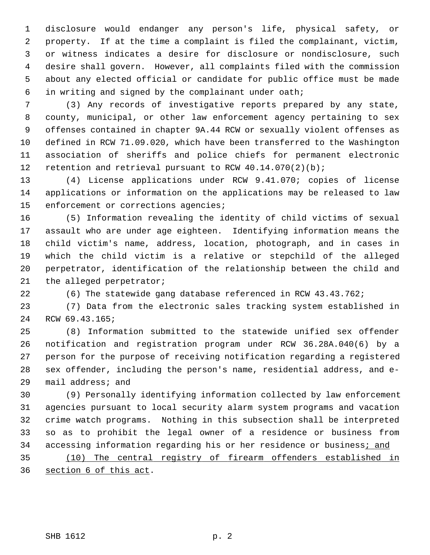1 disclosure would endanger any person's life, physical safety, or 2 property. If at the time a complaint is filed the complainant, victim, 3 or witness indicates a desire for disclosure or nondisclosure, such 4 desire shall govern. However, all complaints filed with the commission 5 about any elected official or candidate for public office must be made 6 in writing and signed by the complainant under oath;

 7 (3) Any records of investigative reports prepared by any state, 8 county, municipal, or other law enforcement agency pertaining to sex 9 offenses contained in chapter 9A.44 RCW or sexually violent offenses as 10 defined in RCW 71.09.020, which have been transferred to the Washington 11 association of sheriffs and police chiefs for permanent electronic 12 retention and retrieval pursuant to RCW 40.14.070(2)(b);

13 (4) License applications under RCW 9.41.070; copies of license 14 applications or information on the applications may be released to law 15 enforcement or corrections agencies;

16 (5) Information revealing the identity of child victims of sexual 17 assault who are under age eighteen. Identifying information means the 18 child victim's name, address, location, photograph, and in cases in 19 which the child victim is a relative or stepchild of the alleged 20 perpetrator, identification of the relationship between the child and 21 the alleged perpetrator;

22 (6) The statewide gang database referenced in RCW 43.43.762;

23 (7) Data from the electronic sales tracking system established in 24 RCW 69.43.165;

25 (8) Information submitted to the statewide unified sex offender 26 notification and registration program under RCW 36.28A.040(6) by a 27 person for the purpose of receiving notification regarding a registered 28 sex offender, including the person's name, residential address, and e-29 mail address; and

30 (9) Personally identifying information collected by law enforcement 31 agencies pursuant to local security alarm system programs and vacation 32 crime watch programs. Nothing in this subsection shall be interpreted 33 so as to prohibit the legal owner of a residence or business from 34 accessing information regarding his or her residence or business; and

35 (10) The central registry of firearm offenders established in 36 section 6 of this act.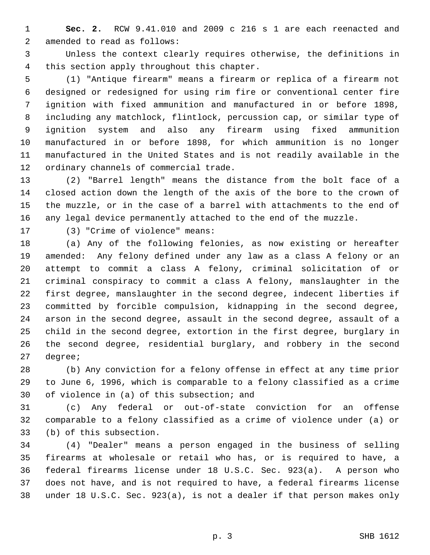1 **Sec. 2.** RCW 9.41.010 and 2009 c 216 s 1 are each reenacted and 2 amended to read as follows:

 3 Unless the context clearly requires otherwise, the definitions in 4 this section apply throughout this chapter.

 5 (1) "Antique firearm" means a firearm or replica of a firearm not 6 designed or redesigned for using rim fire or conventional center fire 7 ignition with fixed ammunition and manufactured in or before 1898, 8 including any matchlock, flintlock, percussion cap, or similar type of 9 ignition system and also any firearm using fixed ammunition 10 manufactured in or before 1898, for which ammunition is no longer 11 manufactured in the United States and is not readily available in the 12 ordinary channels of commercial trade.

13 (2) "Barrel length" means the distance from the bolt face of a 14 closed action down the length of the axis of the bore to the crown of 15 the muzzle, or in the case of a barrel with attachments to the end of 16 any legal device permanently attached to the end of the muzzle.

17 (3) "Crime of violence" means:

18 (a) Any of the following felonies, as now existing or hereafter 19 amended: Any felony defined under any law as a class A felony or an 20 attempt to commit a class A felony, criminal solicitation of or 21 criminal conspiracy to commit a class A felony, manslaughter in the 22 first degree, manslaughter in the second degree, indecent liberties if 23 committed by forcible compulsion, kidnapping in the second degree, 24 arson in the second degree, assault in the second degree, assault of a 25 child in the second degree, extortion in the first degree, burglary in 26 the second degree, residential burglary, and robbery in the second 27 degree;

28 (b) Any conviction for a felony offense in effect at any time prior 29 to June 6, 1996, which is comparable to a felony classified as a crime 30 of violence in (a) of this subsection; and

31 (c) Any federal or out-of-state conviction for an offense 32 comparable to a felony classified as a crime of violence under (a) or 33 (b) of this subsection.

34 (4) "Dealer" means a person engaged in the business of selling 35 firearms at wholesale or retail who has, or is required to have, a 36 federal firearms license under 18 U.S.C. Sec. 923(a). A person who 37 does not have, and is not required to have, a federal firearms license 38 under 18 U.S.C. Sec. 923(a), is not a dealer if that person makes only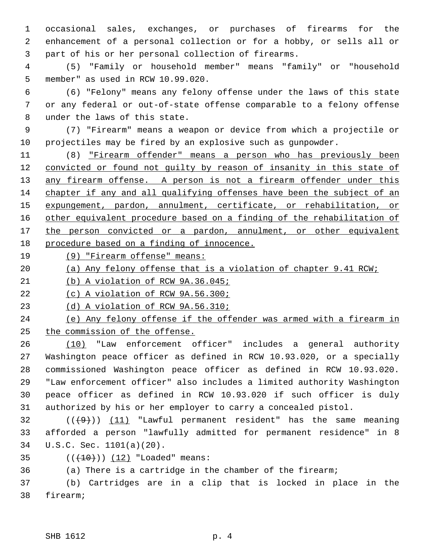1 occasional sales, exchanges, or purchases of firearms for the 2 enhancement of a personal collection or for a hobby, or sells all or 3 part of his or her personal collection of firearms.

 4 (5) "Family or household member" means "family" or "household 5 member" as used in RCW 10.99.020.

 6 (6) "Felony" means any felony offense under the laws of this state 7 or any federal or out-of-state offense comparable to a felony offense 8 under the laws of this state.

 9 (7) "Firearm" means a weapon or device from which a projectile or 10 projectiles may be fired by an explosive such as gunpowder.

11 (8) "Firearm offender" means a person who has previously been convicted or found not guilty by reason of insanity in this state of 13 any firearm offense. A person is not a firearm offender under this chapter if any and all qualifying offenses have been the subject of an expungement, pardon, annulment, certificate, or rehabilitation, or other equivalent procedure based on a finding of the rehabilitation of the person convicted or a pardon, annulment, or other equivalent procedure based on a finding of innocence.

19 (9) "Firearm offense" means:

20 (a) Any felony offense that is a violation of chapter 9.41 RCW;

21 (b) A violation of RCW 9A.36.045;

22 (c) A violation of RCW 9A.56.300;

23 (d) A violation of RCW 9A.56.310;

24 (e) Any felony offense if the offender was armed with a firearm in 25 the commission of the offense.

26 (10) "Law enforcement officer" includes a general authority 27 Washington peace officer as defined in RCW 10.93.020, or a specially 28 commissioned Washington peace officer as defined in RCW 10.93.020. 29 "Law enforcement officer" also includes a limited authority Washington 30 peace officer as defined in RCW 10.93.020 if such officer is duly 31 authorized by his or her employer to carry a concealed pistol.

 $(1)$  (( $(9)$ )) (11) "Lawful permanent resident" has the same meaning 33 afforded a person "lawfully admitted for permanent residence" in 8 34 U.S.C. Sec. 1101(a)(20).

35 (( $+10$ )) (12) "Loaded" means:

36 (a) There is a cartridge in the chamber of the firearm;

37 (b) Cartridges are in a clip that is locked in place in the 38 firearm;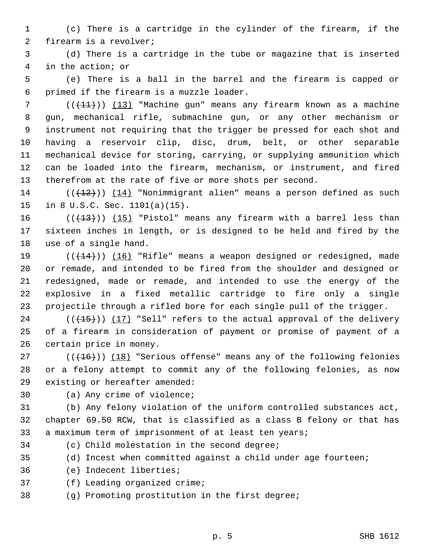1 (c) There is a cartridge in the cylinder of the firearm, if the 2 firearm is a revolver;

 3 (d) There is a cartridge in the tube or magazine that is inserted 4 in the action; or

 5 (e) There is a ball in the barrel and the firearm is capped or 6 primed if the firearm is a muzzle loader.

 $7$  (( $\left(\frac{11}{11}\right)$ ) (13) "Machine gun" means any firearm known as a machine 8 gun, mechanical rifle, submachine gun, or any other mechanism or 9 instrument not requiring that the trigger be pressed for each shot and 10 having a reservoir clip, disc, drum, belt, or other separable 11 mechanical device for storing, carrying, or supplying ammunition which 12 can be loaded into the firearm, mechanism, or instrument, and fired 13 therefrom at the rate of five or more shots per second.

 $14$  (( $(12)$ )) (14) "Nonimmigrant alien" means a person defined as such 15 in 8 U.S.C. Sec. 1101(a)(15).

16  $((+13))$  (15) "Pistol" means any firearm with a barrel less than 17 sixteen inches in length, or is designed to be held and fired by the 18 use of a single hand.

19  $((+14))$   $(16)$  "Rifle" means a weapon designed or redesigned, made 20 or remade, and intended to be fired from the shoulder and designed or 21 redesigned, made or remade, and intended to use the energy of the 22 explosive in a fixed metallic cartridge to fire only a single 23 projectile through a rifled bore for each single pull of the trigger.

24  $((+15))$  (17) "Sell" refers to the actual approval of the delivery 25 of a firearm in consideration of payment or promise of payment of a 26 certain price in money.

27  $((+16))$  (18) "Serious offense" means any of the following felonies 28 or a felony attempt to commit any of the following felonies, as now 29 existing or hereafter amended:

30 (a) Any crime of violence;

31 (b) Any felony violation of the uniform controlled substances act, 32 chapter 69.50 RCW, that is classified as a class B felony or that has 33 a maximum term of imprisonment of at least ten years;

34 (c) Child molestation in the second degree;

35 (d) Incest when committed against a child under age fourteen;

36 (e) Indecent liberties;

37 (f) Leading organized crime;

38 (g) Promoting prostitution in the first degree;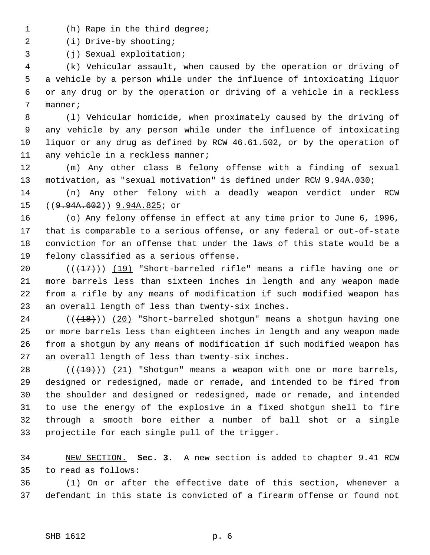- 1 (h) Rape in the third degree;
- 2 (i) Drive-by shooting;

3 (j) Sexual exploitation;

 4 (k) Vehicular assault, when caused by the operation or driving of 5 a vehicle by a person while under the influence of intoxicating liquor 6 or any drug or by the operation or driving of a vehicle in a reckless 7 manner;

 8 (l) Vehicular homicide, when proximately caused by the driving of 9 any vehicle by any person while under the influence of intoxicating 10 liquor or any drug as defined by RCW 46.61.502, or by the operation of 11 any vehicle in a reckless manner;

12 (m) Any other class B felony offense with a finding of sexual 13 motivation, as "sexual motivation" is defined under RCW 9.94A.030;

14 (n) Any other felony with a deadly weapon verdict under RCW 15 ((9.94A.602)) 9.94A.825; or

16 (o) Any felony offense in effect at any time prior to June 6, 1996, 17 that is comparable to a serious offense, or any federal or out-of-state 18 conviction for an offense that under the laws of this state would be a 19 felony classified as a serious offense.

20  $((+17))$  (19) "Short-barreled rifle" means a rifle having one or 21 more barrels less than sixteen inches in length and any weapon made 22 from a rifle by any means of modification if such modified weapon has 23 an overall length of less than twenty-six inches.

24  $((+18))$  (20) "Short-barreled shotgun" means a shotgun having one 25 or more barrels less than eighteen inches in length and any weapon made 26 from a shotgun by any means of modification if such modified weapon has 27 an overall length of less than twenty-six inches.

28  $((+19))$   $(21)$  "Shotgun" means a weapon with one or more barrels, 29 designed or redesigned, made or remade, and intended to be fired from 30 the shoulder and designed or redesigned, made or remade, and intended 31 to use the energy of the explosive in a fixed shotgun shell to fire 32 through a smooth bore either a number of ball shot or a single 33 projectile for each single pull of the trigger.

34 NEW SECTION. **Sec. 3.** A new section is added to chapter 9.41 RCW 35 to read as follows:

36 (1) On or after the effective date of this section, whenever a 37 defendant in this state is convicted of a firearm offense or found not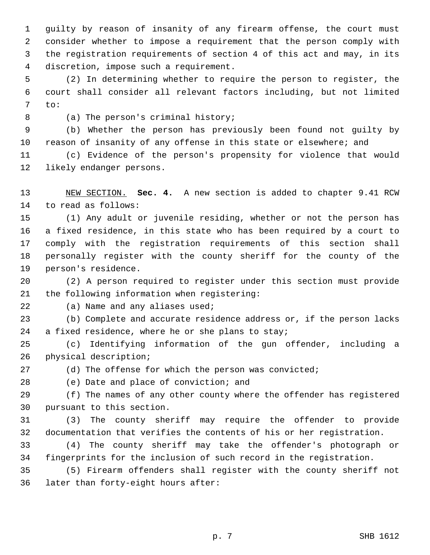1 guilty by reason of insanity of any firearm offense, the court must 2 consider whether to impose a requirement that the person comply with 3 the registration requirements of section 4 of this act and may, in its 4 discretion, impose such a requirement.

 5 (2) In determining whether to require the person to register, the 6 court shall consider all relevant factors including, but not limited 7 to:

8 (a) The person's criminal history;

 9 (b) Whether the person has previously been found not guilty by 10 reason of insanity of any offense in this state or elsewhere; and

11 (c) Evidence of the person's propensity for violence that would 12 likely endanger persons.

13 NEW SECTION. **Sec. 4.** A new section is added to chapter 9.41 RCW 14 to read as follows:

15 (1) Any adult or juvenile residing, whether or not the person has 16 a fixed residence, in this state who has been required by a court to 17 comply with the registration requirements of this section shall 18 personally register with the county sheriff for the county of the 19 person's residence.

20 (2) A person required to register under this section must provide 21 the following information when registering:

22 (a) Name and any aliases used;

23 (b) Complete and accurate residence address or, if the person lacks 24 a fixed residence, where he or she plans to stay;

25 (c) Identifying information of the gun offender, including a 26 physical description;

27 (d) The offense for which the person was convicted;

28 (e) Date and place of conviction; and

29 (f) The names of any other county where the offender has registered 30 pursuant to this section.

31 (3) The county sheriff may require the offender to provide 32 documentation that verifies the contents of his or her registration.

33 (4) The county sheriff may take the offender's photograph or 34 fingerprints for the inclusion of such record in the registration.

35 (5) Firearm offenders shall register with the county sheriff not 36 later than forty-eight hours after: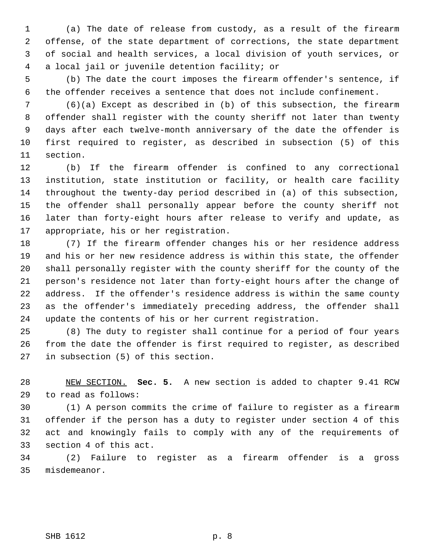1 (a) The date of release from custody, as a result of the firearm 2 offense, of the state department of corrections, the state department 3 of social and health services, a local division of youth services, or 4 a local jail or juvenile detention facility; or

 5 (b) The date the court imposes the firearm offender's sentence, if 6 the offender receives a sentence that does not include confinement.

 7 (6)(a) Except as described in (b) of this subsection, the firearm 8 offender shall register with the county sheriff not later than twenty 9 days after each twelve-month anniversary of the date the offender is 10 first required to register, as described in subsection (5) of this 11 section.

12 (b) If the firearm offender is confined to any correctional 13 institution, state institution or facility, or health care facility 14 throughout the twenty-day period described in (a) of this subsection, 15 the offender shall personally appear before the county sheriff not 16 later than forty-eight hours after release to verify and update, as 17 appropriate, his or her registration.

18 (7) If the firearm offender changes his or her residence address 19 and his or her new residence address is within this state, the offender 20 shall personally register with the county sheriff for the county of the 21 person's residence not later than forty-eight hours after the change of 22 address. If the offender's residence address is within the same county 23 as the offender's immediately preceding address, the offender shall 24 update the contents of his or her current registration.

25 (8) The duty to register shall continue for a period of four years 26 from the date the offender is first required to register, as described 27 in subsection (5) of this section.

28 NEW SECTION. **Sec. 5.** A new section is added to chapter 9.41 RCW 29 to read as follows:

30 (1) A person commits the crime of failure to register as a firearm 31 offender if the person has a duty to register under section 4 of this 32 act and knowingly fails to comply with any of the requirements of 33 section 4 of this act.

34 (2) Failure to register as a firearm offender is a gross 35 misdemeanor.